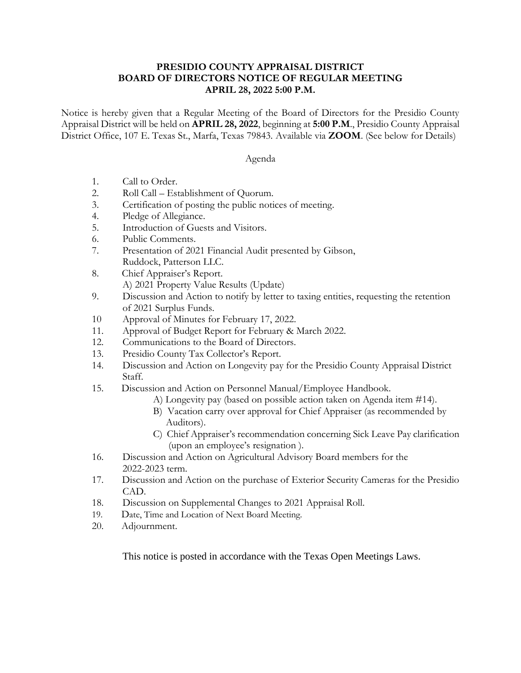## **PRESIDIO COUNTY APPRAISAL DISTRICT BOARD OF DIRECTORS NOTICE OF REGULAR MEETING APRIL 28, 2022 5:00 P.M.**

Notice is hereby given that a Regular Meeting of the Board of Directors for the Presidio County Appraisal District will be held on **APRIL 28, 2022**, beginning at **5:00 P.M**., Presidio County Appraisal District Office, 107 E. Texas St., Marfa, Texas 79843. Available via **ZOOM**. (See below for Details)

## Agenda

- 1. Call to Order.
- 2. Roll Call Establishment of Quorum.
- 3. Certification of posting the public notices of meeting.
- 4. Pledge of Allegiance.
- 5. Introduction of Guests and Visitors.
- 6. Public Comments.
- 7. Presentation of 2021 Financial Audit presented by Gibson, Ruddock, Patterson LLC.
- 8. Chief Appraiser's Report. A) 2021 Property Value Results (Update)
- 9. Discussion and Action to notify by letter to taxing entities, requesting the retention of 2021 Surplus Funds.
- 10 Approval of Minutes for February 17, 2022.
- 11. Approval of Budget Report for February & March 2022.
- 12. Communications to the Board of Directors.
- 13. Presidio County Tax Collector's Report.
- 14. Discussion and Action on Longevity pay for the Presidio County Appraisal District Staff.
- 15. Discussion and Action on Personnel Manual/Employee Handbook.
	- A) Longevity pay (based on possible action taken on Agenda item #14).
	- B) Vacation carry over approval for Chief Appraiser (as recommended by Auditors).
	- C) Chief Appraiser's recommendation concerning Sick Leave Pay clarification (upon an employee's resignation ).
- 16. Discussion and Action on Agricultural Advisory Board members for the 2022-2023 term.
- 17. Discussion and Action on the purchase of Exterior Security Cameras for the Presidio CAD.
- 18. Discussion on Supplemental Changes to 2021 Appraisal Roll.
- 19. Date, Time and Location of Next Board Meeting.
- 20. Adjournment.

This notice is posted in accordance with the Texas Open Meetings Laws.